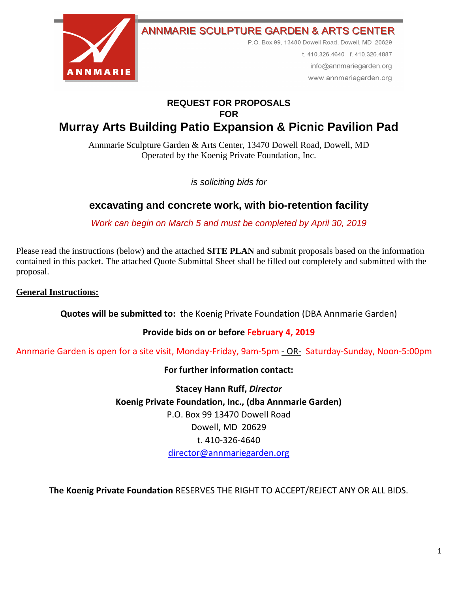

**ANNMARIE SCULPTURE GARDEN & ARTS CENTER** 

P.O. Box 99, 13480 Dowell Road, Dowell, MD 20629

t. 410.326.4640 f. 410.326.4887 info@annmariegarden.org www.annmariegarden.org

## **REQUEST FOR PROPOSALS FOR**

# **Murray Arts Building Patio Expansion & Picnic Pavilion Pad**

Annmarie Sculpture Garden & Arts Center, 13470 Dowell Road, Dowell, MD Operated by the Koenig Private Foundation, Inc.

*is soliciting bids for* 

## **excavating and concrete work, with bio-retention facility**

*Work can begin on March 5 and must be completed by April 30, 2019*

Please read the instructions (below) and the attached **SITE PLAN** and submit proposals based on the information contained in this packet. The attached Quote Submittal Sheet shall be filled out completely and submitted with the proposal.

#### **General Instructions:**

**Quotes will be submitted to:** the Koenig Private Foundation (DBA Annmarie Garden)

#### **Provide bids on or before February 4, 2019**

Annmarie Garden is open for a site visit, Monday-Friday, 9am-5pm - OR- Saturday-Sunday, Noon-5:00pm

#### **For further information contact:**

**Stacey Hann Ruff,** *Director* **Koenig Private Foundation, Inc., (dba Annmarie Garden)** P.O. Box 99 13470 Dowell Road Dowell, MD 20629 t. 410-326-4640 [director@annmariegarden.org](mailto:director@annmariegarden.org)

**The Koenig Private Foundation** RESERVES THE RIGHT TO ACCEPT/REJECT ANY OR ALL BIDS.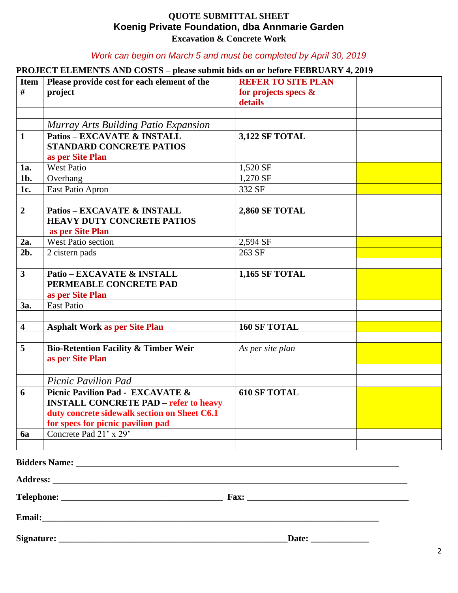#### **QUOTE SUBMITTAL SHEET Koenig Private Foundation, dba Annmarie Garden Excavation & Concrete Work**

#### *Work can begin on March 5 and must be completed by April 30, 2019*

### **PROJECT ELEMENTS AND COSTS – please submit bids on or before FEBRUARY 4, 2019**

| Item  <br>$\#$          | Please provide cost for each element of the<br>project                                                                                                                | <b>REFER TO SITE PLAN</b><br>for projects specs &<br>details |  |  |
|-------------------------|-----------------------------------------------------------------------------------------------------------------------------------------------------------------------|--------------------------------------------------------------|--|--|
|                         |                                                                                                                                                                       |                                                              |  |  |
|                         | Murray Arts Building Patio Expansion                                                                                                                                  |                                                              |  |  |
| $\mathbf{1}$            | <b>Patios - EXCAVATE &amp; INSTALL</b>                                                                                                                                | <b>3,122 SF TOTAL</b>                                        |  |  |
|                         | <b>STANDARD CONCRETE PATIOS</b>                                                                                                                                       |                                                              |  |  |
|                         | as per Site Plan                                                                                                                                                      |                                                              |  |  |
| 1a.                     | <b>West Patio</b>                                                                                                                                                     | 1,520 SF                                                     |  |  |
| 1b.                     | Overhang                                                                                                                                                              | 1,270 SF                                                     |  |  |
| 1c.                     | East Patio Apron                                                                                                                                                      | 332 SF                                                       |  |  |
|                         |                                                                                                                                                                       |                                                              |  |  |
| $\overline{2}$          | <b>Patios - EXCAVATE &amp; INSTALL</b><br><b>HEAVY DUTY CONCRETE PATIOS</b><br>as per Site Plan                                                                       | <b>2,860 SF TOTAL</b>                                        |  |  |
| 2a.                     | <b>West Patio section</b>                                                                                                                                             | 2,594 SF                                                     |  |  |
| $2b$ .                  | 2 cistern pads                                                                                                                                                        | 263 SF                                                       |  |  |
|                         |                                                                                                                                                                       |                                                              |  |  |
| $\overline{\mathbf{3}}$ | Patio - EXCAVATE & INSTALL<br>PERMEABLE CONCRETE PAD<br>as per Site Plan                                                                                              | <b>1,165 SF TOTAL</b>                                        |  |  |
| 3a.                     | <b>East Patio</b>                                                                                                                                                     |                                                              |  |  |
|                         |                                                                                                                                                                       |                                                              |  |  |
| $\overline{\mathbf{4}}$ | <b>Asphalt Work as per Site Plan</b>                                                                                                                                  | <b>160 SF TOTAL</b>                                          |  |  |
|                         |                                                                                                                                                                       |                                                              |  |  |
| 5                       | <b>Bio-Retention Facility &amp; Timber Weir</b><br>as per Site Plan                                                                                                   | As per site plan                                             |  |  |
|                         |                                                                                                                                                                       |                                                              |  |  |
|                         | <b>Picnic Pavilion Pad</b>                                                                                                                                            |                                                              |  |  |
| 6                       | Picnic Pavilion Pad - EXCAVATE &<br><b>INSTALL CONCRETE PAD - refer to heavy</b><br>duty concrete sidewalk section on Sheet C6.1<br>for specs for picnic pavilion pad | <b>610 SF TOTAL</b>                                          |  |  |
| 6a                      | Concrete Pad 21' x 29'                                                                                                                                                |                                                              |  |  |
|                         |                                                                                                                                                                       |                                                              |  |  |
|                         | <b>Bidders Name:</b>                                                                                                                                                  |                                                              |  |  |

Address:

**Telephone: \_\_\_\_\_\_\_\_\_\_\_\_\_\_\_\_\_\_\_\_\_\_\_\_\_\_\_\_\_\_\_\_\_\_\_\_ Fax: \_\_\_\_\_\_\_\_\_\_\_\_\_\_\_\_\_\_\_\_\_\_\_\_\_\_\_\_\_\_\_\_\_\_\_\_**

**Email:\_\_\_\_\_\_\_\_\_\_\_\_\_\_\_\_\_\_\_\_\_\_\_\_\_\_\_\_\_\_\_\_\_\_\_\_\_\_\_\_\_\_\_\_\_\_\_\_\_\_\_\_\_\_\_\_\_\_\_\_\_\_\_\_\_\_\_\_\_\_\_\_\_\_\_**

**Signature: \_\_\_\_\_\_\_\_\_\_\_\_\_\_\_\_\_\_\_\_\_\_\_\_\_\_\_\_\_\_\_\_\_\_\_\_\_\_\_\_\_\_\_\_\_\_\_\_\_\_\_Date: \_\_\_\_\_\_\_\_\_\_\_\_\_**